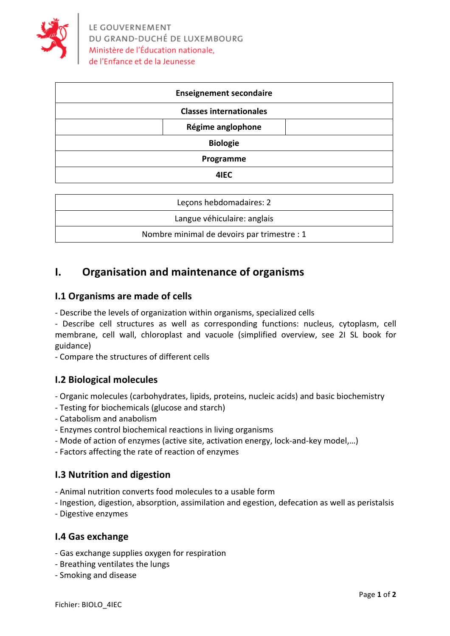

| <b>Enseignement secondaire</b> |
|--------------------------------|
| <b>Classes internationales</b> |
| Régime anglophone              |
| <b>Biologie</b>                |
| Programme                      |
| 4IEC                           |
|                                |

| Lecons hebdomadaires: 2                     |
|---------------------------------------------|
| Langue véhiculaire: anglais                 |
| Nombre minimal de devoirs par trimestre : 1 |

## **I.** Organisation and maintenance of organisms

### **I.1 Organisms are made of cells**

- Describe the levels of organization within organisms, specialized cells

- Describe cell structures as well as corresponding functions: nucleus, cytoplasm, cell membrane, cell wall, chloroplast and vacuole (simplified overview, see 2I SL book for guidance)

- Compare the structures of different cells

#### **I.2 Biological molecules**

- Organic molecules (carbohydrates, lipids, proteins, nucleic acids) and basic biochemistry
- Testing for biochemicals (glucose and starch)
- Catabolism and anabolism
- Enzymes control biochemical reactions in living organisms
- Mode of action of enzymes (active site, activation energy, lock-and-key model,...)
- Factors affecting the rate of reaction of enzymes

#### **I.3 Nutrition and digestion**

- Animal nutrition converts food molecules to a usable form
- Ingestion, digestion, absorption, assimilation and egestion, defecation as well as peristalsis
- Digestive enzymes

#### **I.4 Gas exchange**

- Gas exchange supplies oxygen for respiration
- Breathing ventilates the lungs
- Smoking and disease